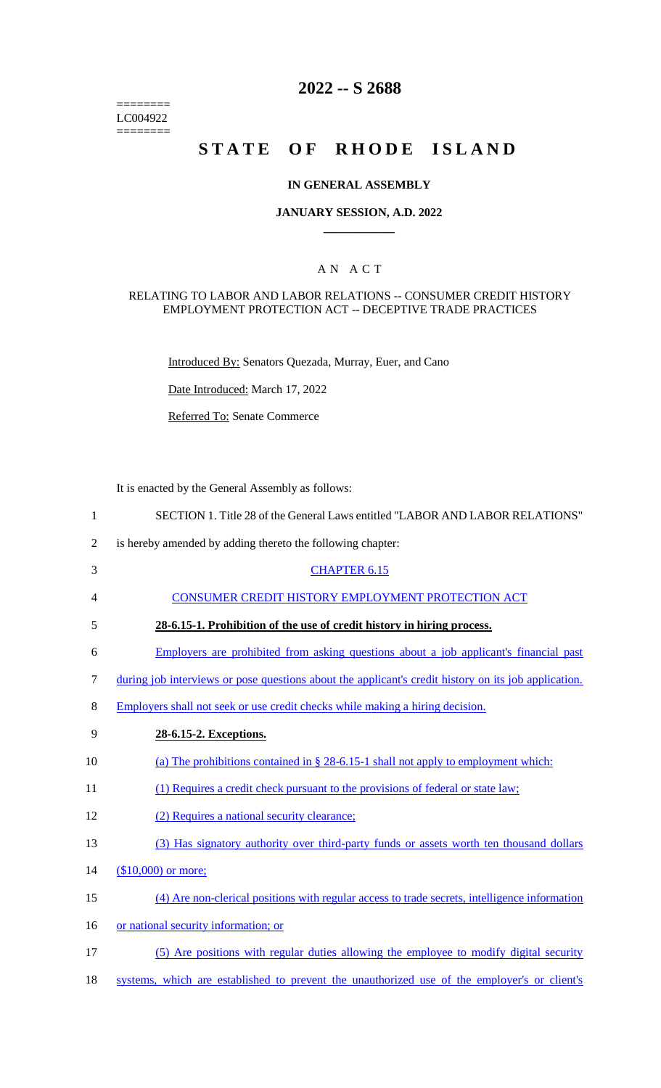======== LC004922  $=$ 

# **2022 -- S 2688**

# **STATE OF RHODE ISLAND**

### **IN GENERAL ASSEMBLY**

### **JANUARY SESSION, A.D. 2022 \_\_\_\_\_\_\_\_\_\_\_\_**

### A N A C T

#### RELATING TO LABOR AND LABOR RELATIONS -- CONSUMER CREDIT HISTORY EMPLOYMENT PROTECTION ACT -- DECEPTIVE TRADE PRACTICES

Introduced By: Senators Quezada, Murray, Euer, and Cano

Date Introduced: March 17, 2022

Referred To: Senate Commerce

It is enacted by the General Assembly as follows:

| $\mathbf{1}$   | SECTION 1. Title 28 of the General Laws entitled "LABOR AND LABOR RELATIONS"                         |
|----------------|------------------------------------------------------------------------------------------------------|
| $\overline{2}$ | is hereby amended by adding thereto the following chapter:                                           |
| 3              | <b>CHAPTER 6.15</b>                                                                                  |
| 4              | CONSUMER CREDIT HISTORY EMPLOYMENT PROTECTION ACT                                                    |
| 5              | 28-6.15-1. Prohibition of the use of credit history in hiring process.                               |
| 6              | Employers are prohibited from asking questions about a job applicant's financial past                |
| 7              | during job interviews or pose questions about the applicant's credit history on its job application. |
| $8\,$          | Employers shall not seek or use credit checks while making a hiring decision.                        |
| 9              | 28-6.15-2. Exceptions.                                                                               |
| 10             | (a) The prohibitions contained in $\S 28-6.15-1$ shall not apply to employment which:                |
| 11             | (1) Requires a credit check pursuant to the provisions of federal or state law;                      |
| 12             | (2) Requires a national security clearance;                                                          |
| 13             | (3) Has signatory authority over third-party funds or assets worth ten thousand dollars              |
| 14             | $($10,000)$ or more;                                                                                 |
| 15             | (4) Are non-clerical positions with regular access to trade secrets, intelligence information        |
| 16             | or national security information; or                                                                 |
| 17             | (5) Are positions with regular duties allowing the employee to modify digital security               |
| 18             | systems, which are established to prevent the unauthorized use of the employer's or client's         |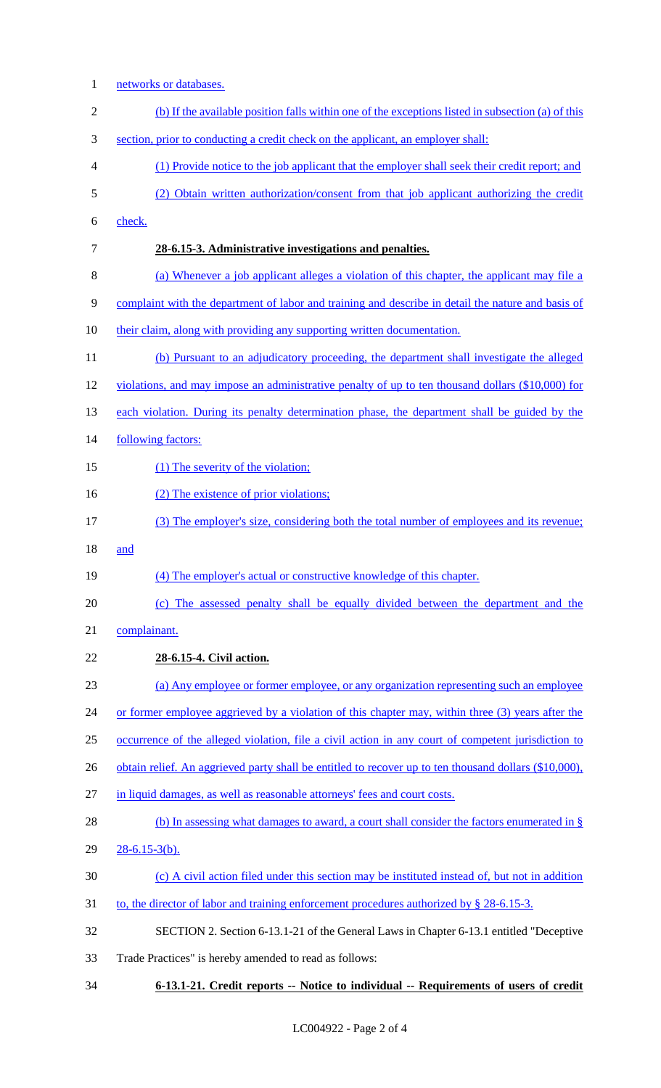1 networks or databases. (b) If the available position falls within one of the exceptions listed in subsection (a) of this section, prior to conducting a credit check on the applicant, an employer shall: (1) Provide notice to the job applicant that the employer shall seek their credit report; and (2) Obtain written authorization/consent from that job applicant authorizing the credit check. **28-6.15-3. Administrative investigations and penalties.**  (a) Whenever a job applicant alleges a violation of this chapter, the applicant may file a complaint with the department of labor and training and describe in detail the nature and basis of 10 their claim, along with providing any supporting written documentation. (b) Pursuant to an adjudicatory proceeding, the department shall investigate the alleged violations, and may impose an administrative penalty of up to ten thousand dollars (\$10,000) for 13 each violation. During its penalty determination phase, the department shall be guided by the 14 following factors: 15 (1) The severity of the violation; 16 (2) The existence of prior violations; (3) The employer's size, considering both the total number of employees and its revenue; and (4) The employer's actual or constructive knowledge of this chapter. (c) The assessed penalty shall be equally divided between the department and the complainant. **28-6.15-4. Civil action.**  (a) Any employee or former employee, or any organization representing such an employee 24 or former employee aggrieved by a violation of this chapter may, within three (3) years after the occurrence of the alleged violation, file a civil action in any court of competent jurisdiction to 26 obtain relief. An aggrieved party shall be entitled to recover up to ten thousand dollars (\$10,000), in liquid damages, as well as reasonable attorneys' fees and court costs. 28 (b) In assessing what damages to award, a court shall consider the factors enumerated in § 28-6.15-3(b). (c) A civil action filed under this section may be instituted instead of, but not in addition 31 to, the director of labor and training enforcement procedures authorized by § 28-6.15-3. SECTION 2. Section 6-13.1-21 of the General Laws in Chapter 6-13.1 entitled "Deceptive Trade Practices" is hereby amended to read as follows: **6-13.1-21. Credit reports -- Notice to individual -- Requirements of users of credit**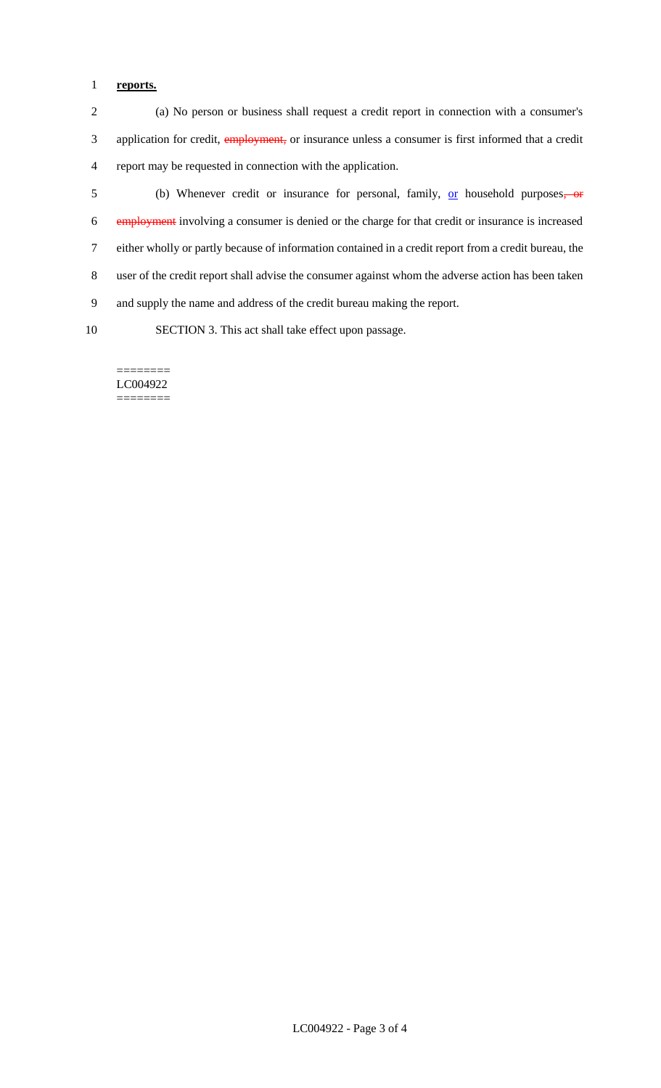# 1 **reports.**

2 (a) No person or business shall request a credit report in connection with a consumer's 3 application for credit, employment, or insurance unless a consumer is first informed that a credit 4 report may be requested in connection with the application.

5 (b) Whenever credit or insurance for personal, family, <u>or</u> household purposes, or employment involving a consumer is denied or the charge for that credit or insurance is increased either wholly or partly because of information contained in a credit report from a credit bureau, the user of the credit report shall advise the consumer against whom the adverse action has been taken and supply the name and address of the credit bureau making the report.

10 SECTION 3. This act shall take effect upon passage.

======== LC004922 ========